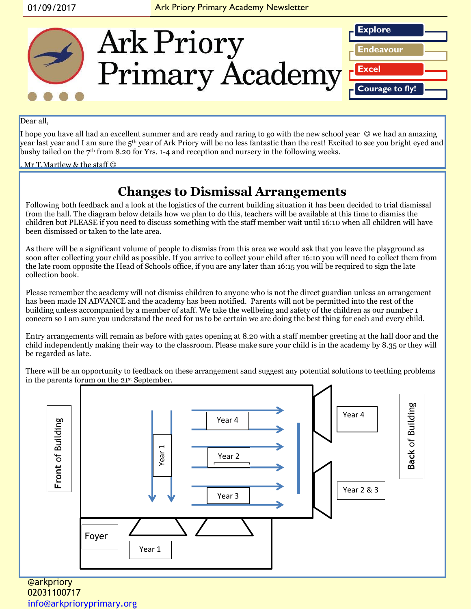

#### Dear all.

I hope you have all had an excellent summer and are ready and raring to go with the new school year  $\heartsuit$  we had an amazing year last year and I am sure the 5<sup>th</sup> year of Ark Priory will be no less fantastic than the rest! Excited to see you bright eyed and bushy tailed on the 7th from 8.20 for Yrs. 1-4 and reception and nursery in the following weeks.

#### . Mr T.Martlew & the staff  $\odot$

#### **Changes to Dismissal Arrangements**

Following both feedback and a look at the logistics of the current building situation it has been decided to trial dismissal from the hall. The diagram below details how we plan to do this, teachers will be available at this time to dismiss the children but PLEASE if you need to discuss something with the staff member wait until 16:10 when all children will have been dismissed or taken to the late area.

As there will be a significant volume of people to dismiss from this area we would ask that you leave the playground as soon after collecting your child as possible. If you arrive to collect your child after 16:10 you will need to collect them from the late room opposite the Head of Schools office, if you are any later than 16:15 you will be required to sign the late collection book.

Please remember the academy will not dismiss children to anyone who is not the direct guardian unless an arrangement has been made IN ADVANCE and the academy has been notified. Parents will not be permitted into the rest of the building unless accompanied by a member of staff. We take the wellbeing and safety of the children as our number 1 concern so I am sure you understand the need for us to be certain we are doing the best thing for each and every child.

Entry arrangements will remain as before with gates opening at 8.20 with a staff member greeting at the hall door and the child independently making their way to the classroom. Please make sure your child is in the academy by 8.35 or they will be regarded as late.

There will be an opportunity to feedback on these arrangement sand suggest any potential solutions to teething problems in the parents forum on the 21st September.



@arkpriory 02031100717 [info@arkprioryprimary.org](mailto:info@arkprioryprimary.org)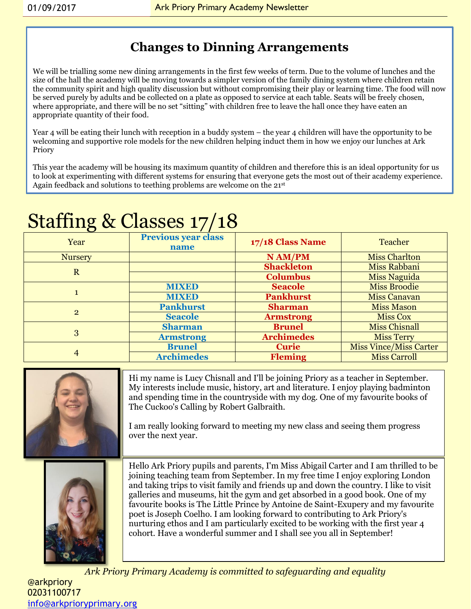### **Changes to Dinning Arrangements**

We will be trialling some new dining arrangements in the first few weeks of term. Due to the volume of lunches and the size of the hall the academy will be moving towards a simpler version of the family dining system where children retain the community spirit and high quality discussion but without compromising their play or learning time. The food will now be served purely by adults and be collected on a plate as opposed to service at each table. Seats will be freely chosen, where appropriate, and there will be no set "sitting" with children free to leave the hall once they have eaten an appropriate quantity of their food.

Year 4 will be eating their lunch with reception in a buddy system – the year 4 children will have the opportunity to be welcoming and supportive role models for the new children helping induct them in how we enjoy our lunches at Ark Priory

This year the academy will be housing its maximum quantity of children and therefore this is an ideal opportunity for us to look at experimenting with different systems for ensuring that everyone gets the most out of their academy experience. Again feedback and solutions to teething problems are welcome on the 21st

## Staffing & Classes 17/18

| Year           | Previous year class<br>name | 17/18 Class Name  | Teacher                       |
|----------------|-----------------------------|-------------------|-------------------------------|
| <b>Nursery</b> |                             | N AM/PM           | <b>Miss Charlton</b>          |
| $\mathbf R$    |                             | <b>Shackleton</b> | Miss Rabbani                  |
|                |                             | <b>Columbus</b>   | <b>Miss Naguida</b>           |
| 1              | <b>MIXED</b>                | <b>Seacole</b>    | <b>Miss Broodie</b>           |
|                | <b>MIXED</b>                | <b>Pankhurst</b>  | <b>Miss Canavan</b>           |
| $\overline{2}$ | <b>Pankhurst</b>            | <b>Sharman</b>    | <b>Miss Mason</b>             |
|                | <b>Seacole</b>              | <b>Armstrong</b>  | <b>Miss Cox</b>               |
| 3              | <b>Sharman</b>              | <b>Brunel</b>     | <b>Miss Chisnall</b>          |
|                | <b>Armstrong</b>            | <b>Archimedes</b> | <b>Miss Terry</b>             |
| 4              | <b>Brunel</b>               | <b>Curie</b>      | <b>Miss Vince/Miss Carter</b> |
|                | <b>Archimedes</b>           | <b>Fleming</b>    | <b>Miss Carroll</b>           |

| Hi my name is Lucy Chisnall and I'll be joining Priory as a teacher in September.<br>My interests include music, history, art and literature. I enjoy playing badminton<br>and spending time in the countryside with my dog. One of my favourite books of<br>The Cuckoo's Calling by Robert Galbraith.<br>I am really looking forward to meeting my new class and seeing them progress<br>over the next year.                                                                                                                                                                                                                                                                      |  |  |
|------------------------------------------------------------------------------------------------------------------------------------------------------------------------------------------------------------------------------------------------------------------------------------------------------------------------------------------------------------------------------------------------------------------------------------------------------------------------------------------------------------------------------------------------------------------------------------------------------------------------------------------------------------------------------------|--|--|
| Hello Ark Priory pupils and parents, I'm Miss Abigail Carter and I am thrilled to be<br>joining teaching team from September. In my free time I enjoy exploring London<br>and taking trips to visit family and friends up and down the country. I like to visit<br>galleries and museums, hit the gym and get absorbed in a good book. One of my<br>favourite books is The Little Prince by Antoine de Saint-Exupery and my favourite<br>poet is Joseph Coelho. I am looking forward to contributing to Ark Priory's<br>nurturing ethos and I am particularly excited to be working with the first year 4<br>cohort. Have a wonderful summer and I shall see you all in September! |  |  |
| $\lambda$ ale Daison a Daison can about the demonstration of the second second line of the second second that                                                                                                                                                                                                                                                                                                                                                                                                                                                                                                                                                                      |  |  |

*Ark Priory Primary Academy is committed to safeguarding and equality*  @arkpriory 02031100717 [info@arkprioryprimary.org](mailto:info@arkprioryprimary.org)